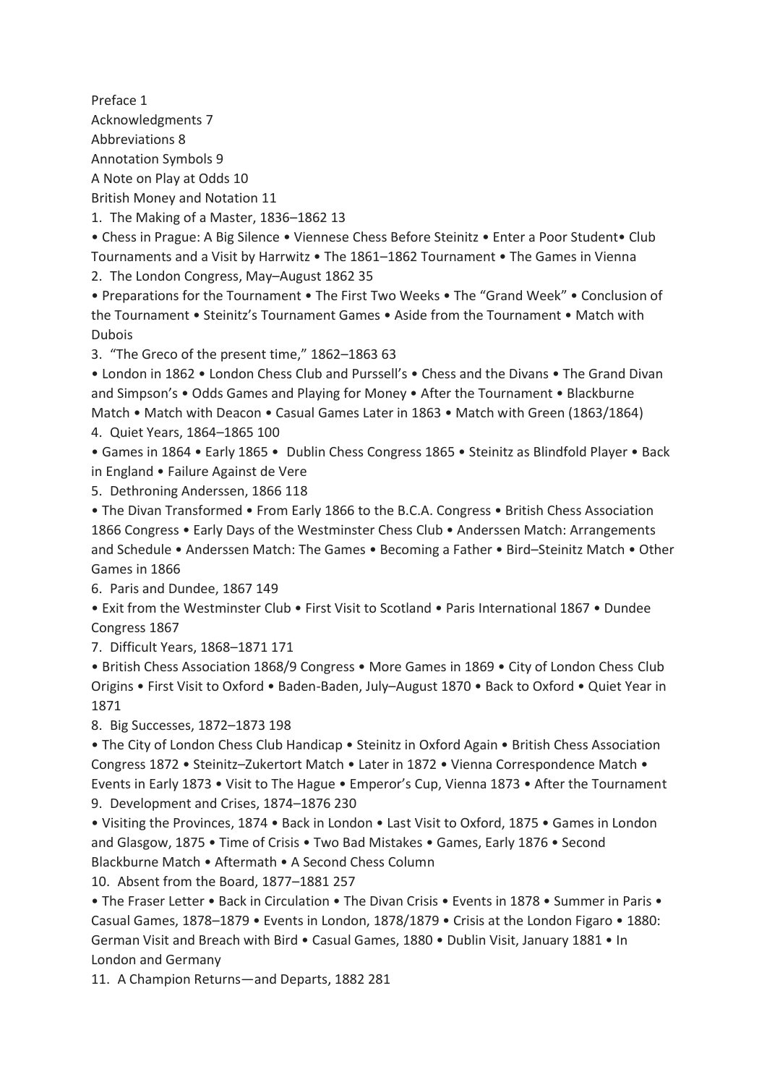Preface 1 Acknowledgments 7 Abbreviations 8 Annotation Symbols 9 A Note on Play at Odds 10 British Money and Notation 11

1. The Making of a Master, 1836–1862 13

• Chess in Prague: A Big Silence • Viennese Chess Before Steinitz • Enter a Poor Student• Club Tournaments and a Visit by Harrwitz • The 1861–1862 Tournament • The Games in Vienna 2. The London Congress, May–August 1862 35

• Preparations for the Tournament • The First Two Weeks • The "Grand Week" • Conclusion of the Tournament • Steinitz's Tournament Games • Aside from the Tournament • Match with Dubois

3. "The Greco of the present time," 1862–1863 63

• London in 1862 • London Chess Club and Purssell's • Chess and the Divans • The Grand Divan and Simpson's • Odds Games and Playing for Money • After the Tournament • Blackburne Match • Match with Deacon • Casual Games Later in 1863 • Match with Green (1863/1864) 4. Quiet Years, 1864–1865 100

• Games in 1864 • Early 1865 • Dublin Chess Congress 1865 • Steinitz as Blindfold Player • Back in England • Failure Against de Vere

5. Dethroning Anderssen, 1866 118

• The Divan Transformed • From Early 1866 to the B.C.A. Congress • British Chess Association 1866 Congress • Early Days of the Westminster Chess Club • Anderssen Match: Arrangements and Schedule • Anderssen Match: The Games • Becoming a Father • Bird–Steinitz Match • Other Games in 1866

6. Paris and Dundee, 1867 149

• Exit from the Westminster Club • First Visit to Scotland • Paris International 1867 • Dundee Congress 1867

7. Difficult Years, 1868–1871 171

• British Chess Association 1868/9 Congress • More Games in 1869 • City of London Chess Club Origins • First Visit to Oxford • Baden-Baden, July–August 1870 • Back to Oxford • Quiet Year in 1871

8. Big Successes, 1872–1873 198

• The City of London Chess Club Handicap • Steinitz in Oxford Again • British Chess Association Congress 1872 • Steinitz–Zukertort Match • Later in 1872 • Vienna Correspondence Match • Events in Early 1873 • Visit to The Hague • Emperor's Cup, Vienna 1873 • After the Tournament 9. Development and Crises, 1874–1876 230

• Visiting the Provinces, 1874 • Back in London • Last Visit to Oxford, 1875 • Games in London and Glasgow, 1875 • Time of Crisis • Two Bad Mistakes • Games, Early 1876 • Second Blackburne Match • Aftermath • A Second Chess Column

10. Absent from the Board, 1877–1881 257

• The Fraser Letter • Back in Circulation • The Divan Crisis • Events in 1878 • Summer in Paris • Casual Games, 1878–1879 • Events in London, 1878/1879 • Crisis at the London Figaro • 1880: German Visit and Breach with Bird • Casual Games, 1880 • Dublin Visit, January 1881 • In London and Germany

11. A Champion Returns—and Departs, 1882 281